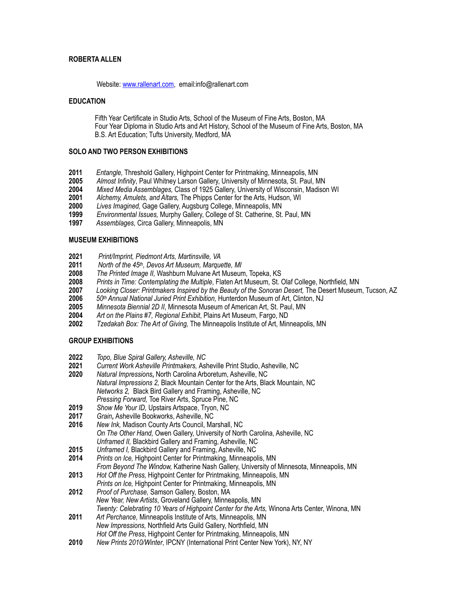## **ROBERTA ALLEN**

#### Website: [www.rallenart.com,](http://www.rallenart.com) email:info@rallenart.com

### **EDUCATION**

 Fifth Year Certificate in Studio Arts, School of the Museum of Fine Arts, Boston, MA Four Year Diploma in Studio Arts and Art History, School of the Museum of Fine Arts, Boston, MA B.S. Art Education; Tufts University, Medford, MA

#### **SOLO AND TWO PERSON EXHIBITIONS**

- **2011** *Entangle,* Threshold Gallery, Highpoint Center for Printmaking, Minneapolis, MN
- **2005** *Almost Infinity*, Paul Whitney Larson Gallery, University of Minnesota, St. Paul, MN
- **2004** *Mixed Media Assemblages,* Class of 1925 Gallery, University of Wisconsin, Madison WI
- **2001** *Alchemy, Amulets, and Altars,* The Phipps Center for the Arts, Hudson, WI
- **2000** *Lives Imagined,* Gage Gallery, Augsburg College, Minneapolis, MN
- **1999** *Environmental Issues,* Murphy Gallery, College of St. Catherine, St. Paul, MN
- **1997** *Assemblages,* Circa Gallery, Minneapolis, MN

#### **MUSEUM EXHIBITIONS**

- **2021** *Print/Imprint, Piedmont Arts, Martinsville, VA*
- **2011** *North of the 45th, Devos Art Museum, Marquette, MI*
- **2008** *The Printed Image II,* Washburn Mulvane Art Museum, Topeka, KS
- **2008** *Prints in Time: Contemplating the Multiple*, Flaten Art Museum, St. Olaf College, Northfield, MN
- **2007** *Looking Closer: Printmakers Inspired by the Beauty of the Sonoran Desert,* The Desert Museum, Tucson, AZ
- **2006** *50th Annual National Juried Print Exhibition,* Hunterdon Museum of Art, Clinton, NJ
- **2005** *Minnesota Biennial 2D II*, Minnesota Museum of American Art, St. Paul, MN
- **2004** *Art on the Plains #7, Regional Exhibit*, Plains Art Museum, Fargo, ND
- **2002** *Tzedakah Box: The Art of Giving,* The Minneapolis Institute of Art, Minneapolis, MN

## **GROUP EXHIBITIONS**

- **2022** *Topo, Blue Spiral Gallery, Asheville, NC*
- **2021** *Current Work Asheville Printmakers,* Asheville Print Studio, Asheville, NC
- **2020** *Natural Impressions***,** North Carolina Arboretum, Asheville, NC *Natural Impressions 2,* Black Mountain Center for the Arts, Black Mountain, NC *Networks 2,* Black Bird Gallery and Framing, Asheville, NC *Pressing Forward,* Toe River Arts, Spruce Pine, NC
- **2019** *Show Me Your ID,* Upstairs Artspace, Tryon, NC
- **2017** *Grain***,** Asheville Bookworks, Asheville, NC
- **2016** *New Ink,* Madison County Arts Council, Marshall, NC *On The Other Hand,* Owen Gallery, University of North Carolina, Asheville, NC *Unframed II,* Blackbird Gallery and Framing, Asheville, NC
- 
- **2015** *Unframed I,* Blackbird Gallery and Framing, Asheville, NC **2014** *Prints on Ice,* Highpoint Center for Printmaking, Minneapolis, MN  *From Beyond The Window,* Katherine Nash Gallery, University of Minnesota, Minneapolis, MN
- **2013** *Hot Off the Press,* Highpoint Center for Printmaking, Minneapolis, MN
- *Prints on Ice,* Highpoint Center for Printmaking, Minneapolis, MN **2012** *Proof of Purchase,* Samson Gallery, Boston, MA
- *New Year, New Artists*, Groveland Gallery, Minneapolis, MN *Twenty: Celebrating 10 Years of Highpoint Center for the Arts,* Winona Arts Center, Winona, MN
- **2011** *Art Perchance,* Minneapolis Institute of Arts, Minneapolis, MN *New Impressions,* Northfield Arts Guild Gallery, Northfield, MN  *Hot Off the Press*, Highpoint Center for Printmaking, Minneapolis, MN
- **2010** *New Prints 2010/Winter*, IPCNY (International Print Center New York), NY, NY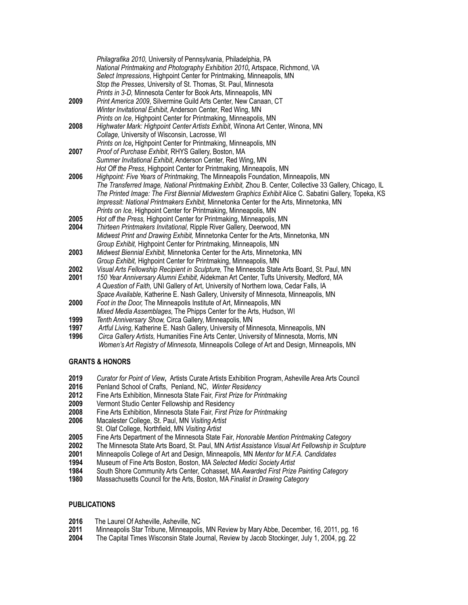|      | Philagrafika 2010, University of Pennsylvania, Philadelphia, PA<br>National Printmaking and Photography Exhibition 2010, Artspace, Richmond, VA |
|------|-------------------------------------------------------------------------------------------------------------------------------------------------|
|      | Select Impressions, Highpoint Center for Printmaking, Minneapolis, MN                                                                           |
|      | Stop the Presses, University of St. Thomas, St. Paul, Minnesota                                                                                 |
|      | Prints in 3-D, Minnesota Center for Book Arts, Minneapolis, MN                                                                                  |
| 2009 | Print America 2009, Silvermine Guild Arts Center, New Canaan, CT                                                                                |
|      | Winter Invitational Exhibit, Anderson Center, Red Wing, MN                                                                                      |
|      | Prints on Ice, Highpoint Center for Printmaking, Minneapolis, MN                                                                                |
| 2008 | Highwater Mark: Highpoint Center Artists Exhibit, Winona Art Center, Winona, MN                                                                 |
|      | Collage, University of Wisconsin, Lacrosse, WI                                                                                                  |
|      | Prints on Ice, Highpoint Center for Printmaking, Minneapolis, MN                                                                                |
| 2007 | Proof of Purchase Exhibit, RHYS Gallery, Boston, MA                                                                                             |
|      | Summer Invitational Exhibit, Anderson Center, Red Wing, MN                                                                                      |
|      | Hot Off the Press, Highpoint Center for Printmaking, Minneapolis, MN                                                                            |
| 2006 | Highpoint: Five Years of Printmaking, The Minneapolis Foundation, Minneapolis, MN                                                               |
|      | The Transferred Image, National Printmaking Exhibit, Zhou B. Center, Collective 33 Gallery, Chicago, IL                                         |
|      | The Printed Image: The First Biennial Midwestern Graphics Exhibit Alice C. Sabatini Gallery, Topeka, KS                                         |
|      | Impressit: National Printmakers Exhibit, Minnetonka Center for the Arts, Minnetonka, MN                                                         |
|      | Prints on Ice, Highpoint Center for Printmaking, Minneapolis, MN                                                                                |
| 2005 | Hot off the Press, Highpoint Center for Printmaking, Minneapolis, MN                                                                            |
| 2004 | Thirteen Printmakers Invitational, Ripple River Gallery, Deerwood, MN                                                                           |
|      | Midwest Print and Drawing Exhibit, Minnetonka Center for the Arts, Minnetonka, MN                                                               |
|      | Group Exhibit, Highpoint Center for Printmaking, Minneapolis, MN                                                                                |
| 2003 | Midwest Biennial Exhibit, Minnetonka Center for the Arts, Minnetonka, MN                                                                        |
|      | Group Exhibit, Highpoint Center for Printmaking, Minneapolis, MN                                                                                |
| 2002 | Visual Arts Fellowship Recipient in Sculpture, The Minnesota State Arts Board, St. Paul, MN                                                     |
| 2001 | 150 Year Anniversary Alumni Exhibit, Aidekman Art Center, Tufts University, Medford, MA                                                         |
|      | A Question of Faith, UNI Gallery of Art, University of Northern Iowa, Cedar Falls, IA                                                           |
|      | Space Available, Katherine E. Nash Gallery, University of Minnesota, Minneapolis, MN                                                            |
| 2000 | Foot in the Door, The Minneapolis Institute of Art, Minneapolis, MN                                                                             |
|      | Mixed Media Assemblages, The Phipps Center for the Arts, Hudson, WI                                                                             |
| 1999 | Tenth Anniversary Show, Circa Gallery, Minneapolis, MN                                                                                          |
| 1997 | Artful Living, Katherine E. Nash Gallery, University of Minnesota, Minneapolis, MN                                                              |

**1996** *Circa Gallery Artists,* Humanities Fine Arts Center, University of Minnesota, Morris, MN *Women's Art Registry of Minnesota,* Minneapolis College of Art and Design, Minneapolis, MN

# **GRANTS & HONORS**

- **2019** *Curator for Point of View***,** Artists Curate Artists Exhibition Program, Asheville Area Arts Council
- **2016** Penland School of Crafts, Penland, NC,*Winter Residency*
- **2012** Fine Arts Exhibition, Minnesota State Fair, *First Prize for Printmaking*
- **2009** Vermont Studio Center Fellowship and Residency<br>**2008** Fine Arts Exhibition. Minnesota State Fair. First Pri
- **2008** Fine Arts Exhibition, Minnesota State Fair, *First Prize for Printmaking*
- **2006** Macalester College, St. Paul, MN *Visiting Artist*
- St. Olaf College, Northfield, MN *Visiting Artist*
- **2005** Fine Arts Department of the Minnesota State Fair, *Honorable Mention Printmaking Category*
- **2002** The Minnesota State Arts Board, St. Paul, MN *Artist Assistance Visual Art Fellowship in Sculpture*
- **2001** Minneapolis College of Art and Design, Minneapolis, MN *Mentor for M.F.A. Candidates*
- **1994** Museum of Fine Arts Boston, Boston, MA *Selected Medici Society Artist*
- **1984** South Shore Community Arts Center, Cohasset, MA *Awarded First Prize Painting Category*
- **1980** Massachusetts Council for the Arts, Boston, MA *Finalist in Drawing Category*

# **PUBLICATIONS**

- **2016** The Laurel Of Asheville, Asheville, NC
- **2011** Minneapolis Star Tribune, Minneapolis, MN Review by Mary Abbe, December, 16, 2011, pg. 16
- **2004** The Capital Times Wisconsin State Journal, Review by Jacob Stockinger, July 1, 2004, pg. 22